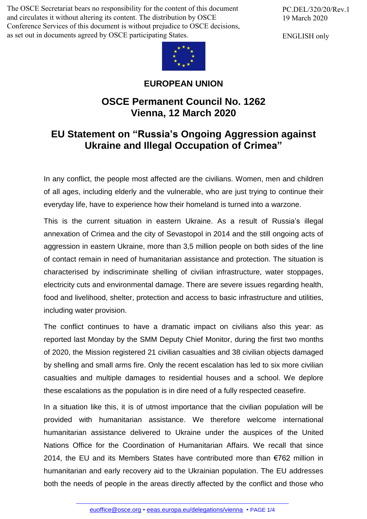The OSCE Secretariat bears no responsibility for the content of this document and circulates it without altering its content. The distribution by OSCE Conference Services of this document is without prejudice to OSCE decisions, as set out in documents agreed by OSCE participating States.



## **EUROPEAN UNION**

## **OSCE Permanent Council No. 1262 Vienna, 12 March 2020**

## **EU Statement on "Russia's Ongoing Aggression against Ukraine and Illegal Occupation of Crimea"**

In any conflict, the people most affected are the civilians. Women, men and children of all ages, including elderly and the vulnerable, who are just trying to continue their everyday life, have to experience how their homeland is turned into a warzone.

This is the current situation in eastern Ukraine. As a result of Russia's illegal annexation of Crimea and the city of Sevastopol in 2014 and the still ongoing acts of aggression in eastern Ukraine, more than 3,5 million people on both sides of the line of contact remain in need of humanitarian assistance and protection. The situation is characterised by indiscriminate shelling of civilian infrastructure, water stoppages, electricity cuts and environmental damage. There are severe issues regarding health, food and livelihood, shelter, protection and access to basic infrastructure and utilities, including water provision.

The conflict continues to have a dramatic impact on civilians also this year: as reported last Monday by the SMM Deputy Chief Monitor, during the first two months of 2020, the Mission registered 21 civilian casualties and 38 civilian objects damaged by shelling and small arms fire. Only the recent escalation has led to six more civilian casualties and multiple damages to residential houses and a school. We deplore these escalations as the population is in dire need of a fully respected ceasefire.

In a situation like this, it is of utmost importance that the civilian population will be provided with humanitarian assistance. We therefore welcome international humanitarian assistance delivered to Ukraine under the auspices of the United Nations Office for the Coordination of Humanitarian Affairs. We recall that since 2014, the EU and its Members States have contributed more than €762 million in humanitarian and early recovery aid to the Ukrainian population. The EU addresses both the needs of [people](mailto:euoffice@osce.org) in the areas directly [affected](http://eeas.europa.eu/delegations/vienna) by the conflict and those who

PC.DEL/320/20/Rev.1 19 March 2020

ENGLISH only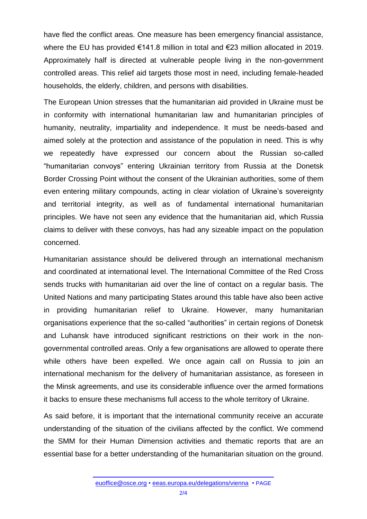have fled the conflict areas. One measure has been emergency financial assistance, where the EU has provided €141.8 million in total and €23 million allocated in 2019. Approximately half is directed at vulnerable people living in the non-government controlled areas. This relief aid targets those most in need, including female-headed households, the elderly, children, and persons with disabilities.

The European Union stresses that the humanitarian aid provided in Ukraine must be in conformity with international humanitarian law and humanitarian principles of humanity, neutrality, impartiality and independence. It must be needs-based and aimed solely at the protection and assistance of the population in need. This is why we repeatedly have expressed our concern about the Russian so-called "humanitarian convoys" entering Ukrainian territory from Russia at the Donetsk Border Crossing Point without the consent of the Ukrainian authorities, some of them even entering military compounds, acting in clear violation of Ukraine's sovereignty and territorial integrity, as well as of fundamental international humanitarian principles. We have not seen any evidence that the humanitarian aid, which Russia claims to deliver with these convoys, has had any sizeable impact on the population concerned.

Humanitarian assistance should be delivered through an international mechanism and coordinated at international level. The International Committee of the Red Cross sends trucks with humanitarian aid over the line of contact on a regular basis. The United Nations and many participating States around this table have also been active in providing humanitarian relief to Ukraine. However, many humanitarian organisations experience that the so-called "authorities" in certain regions of Donetsk and Luhansk have introduced significant restrictions on their work in the nongovernmental controlled areas. Only a few organisations are allowed to operate there while others have been expelled. We once again call on Russia to join an international mechanism for the delivery of humanitarian assistance, as foreseen in the Minsk agreements, and use its considerable influence over the armed formations it backs to ensure these mechanisms full access to the whole territory of Ukraine.

As said before, it is important that the international community receive an accurate understanding of the situation of the civilians affected by the conflict. We commend the SMM for their Human Dimension activities and thematic reports that are an essential base for a better understanding of the humanitarian situation on the ground.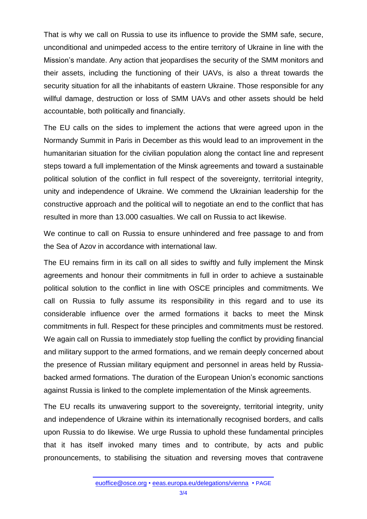That is why we call on Russia to use its influence to provide the SMM safe, secure, unconditional and unimpeded access to the entire territory of Ukraine in line with the Mission's mandate. Any action that jeopardises the security of the SMM monitors and their assets, including the functioning of their UAVs, is also a threat towards the security situation for all the inhabitants of eastern Ukraine. Those responsible for any willful damage, destruction or loss of SMM UAVs and other assets should be held accountable, both politically and financially.

The EU calls on the sides to implement the actions that were agreed upon in the Normandy Summit in Paris in December as this would lead to an improvement in the humanitarian situation for the civilian population along the contact line and represent steps toward a full implementation of the Minsk agreements and toward a sustainable political solution of the conflict in full respect of the sovereignty, territorial integrity, unity and independence of Ukraine. We commend the Ukrainian leadership for the constructive approach and the political will to negotiate an end to the conflict that has resulted in more than 13.000 casualties. We call on Russia to act likewise.

We continue to call on Russia to ensure unhindered and free passage to and from the Sea of Azov in accordance with international law.

The EU remains firm in its call on all sides to swiftly and fully implement the Minsk agreements and honour their commitments in full in order to achieve a sustainable political solution to the conflict in line with OSCE principles and commitments. We call on Russia to fully assume its responsibility in this regard and to use its considerable influence over the armed formations it backs to meet the Minsk commitments in full. Respect for these principles and commitments must be restored. We again call on Russia to immediately stop fuelling the conflict by providing financial and military support to the armed formations, and we remain deeply concerned about the presence of Russian military equipment and personnel in areas held by Russiabacked armed formations. The duration of the European Union's economic sanctions against Russia is linked to the complete implementation of the Minsk agreements.

The EU recalls its unwavering support to the sovereignty, territorial integrity, unity and independence of Ukraine within its internationally recognised borders, and calls upon Russia to do likewise. We urge Russia to uphold these fundamental principles that it has itself invoked many times and to contribute, by acts and public pronouncements, to stabilising the situation and reversing moves that contravene